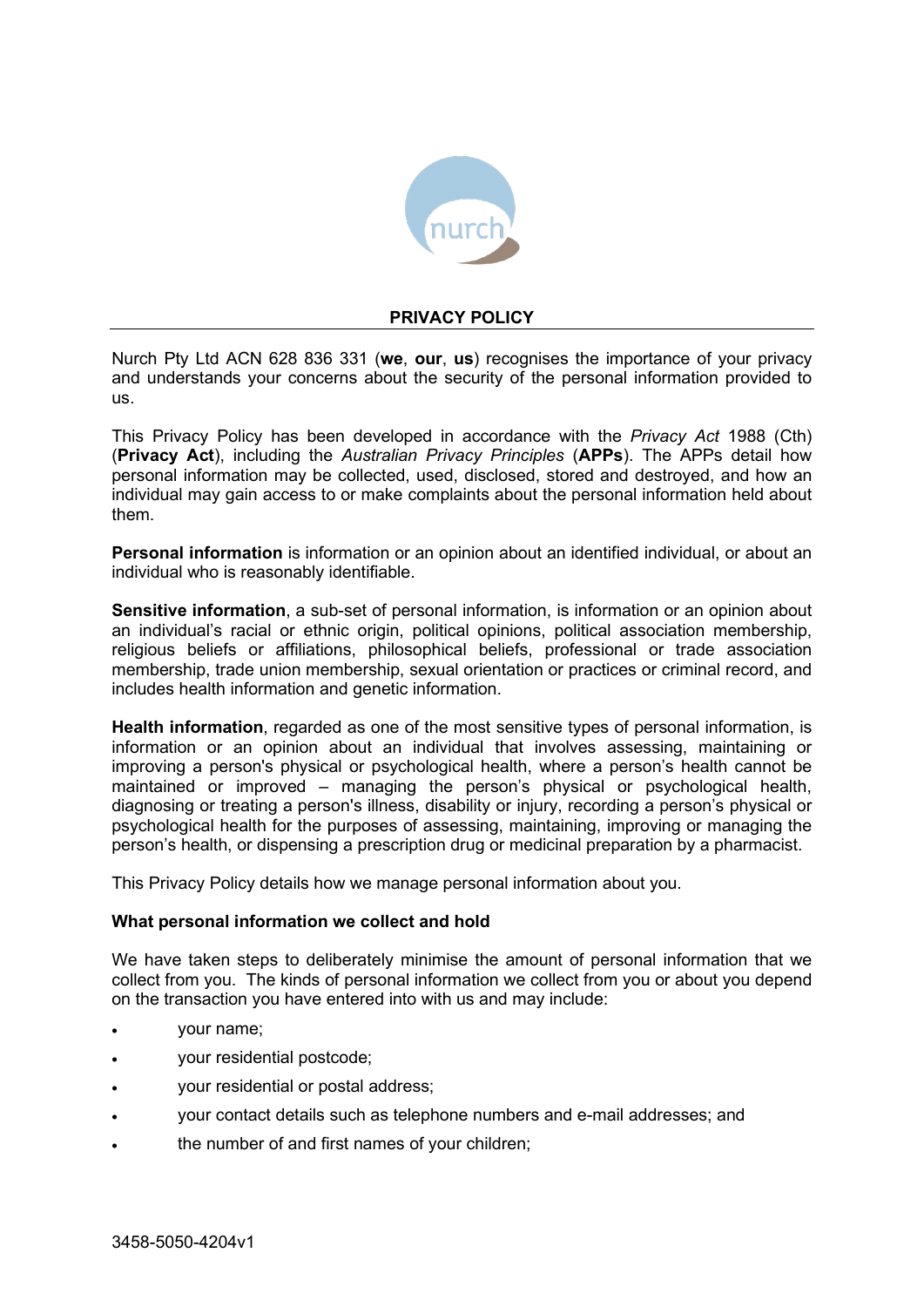

## **PRIVACY POLICY**

Nurch Pty Ltd ACN 628 836 331 (**we**, **our**, **us**) recognises the importance of your privacy and understands your concerns about the security of the personal information provided to us.

This Privacy Policy has been developed in accordance with the *Privacy Act* 1988 (Cth) (**Privacy Act**), including the *Australian Privacy Principles* (**APPs**). The APPs detail how personal information may be collected, used, disclosed, stored and destroyed, and how an individual may gain access to or make complaints about the personal information held about them.

**Personal information** is information or an opinion about an identified individual, or about an individual who is reasonably identifiable.

**Sensitive information**, a sub-set of personal information, is information or an opinion about an individual's racial or ethnic origin, political opinions, political association membership, religious beliefs or affiliations, philosophical beliefs, professional or trade association membership, trade union membership, sexual orientation or practices or criminal record, and includes health information and genetic information.

**Health information**, regarded as one of the most sensitive types of personal information, is information or an opinion about an individual that involves assessing, maintaining or improving a person's physical or psychological health, where a person's health cannot be maintained or improved – managing the person's physical or psychological health, diagnosing or treating a person's illness, disability or injury, recording a person's physical or psychological health for the purposes of assessing, maintaining, improving or managing the person's health, or dispensing a prescription drug or medicinal preparation by a pharmacist.

This Privacy Policy details how we manage personal information about you.

### **What personal information we collect and hold**

We have taken steps to deliberately minimise the amount of personal information that we collect from you. The kinds of personal information we collect from you or about you depend on the transaction you have entered into with us and may include:

- your name;
- your residential postcode;
- your residential or postal address;
- your contact details such as telephone numbers and e-mail addresses; and
- the number of and first names of your children;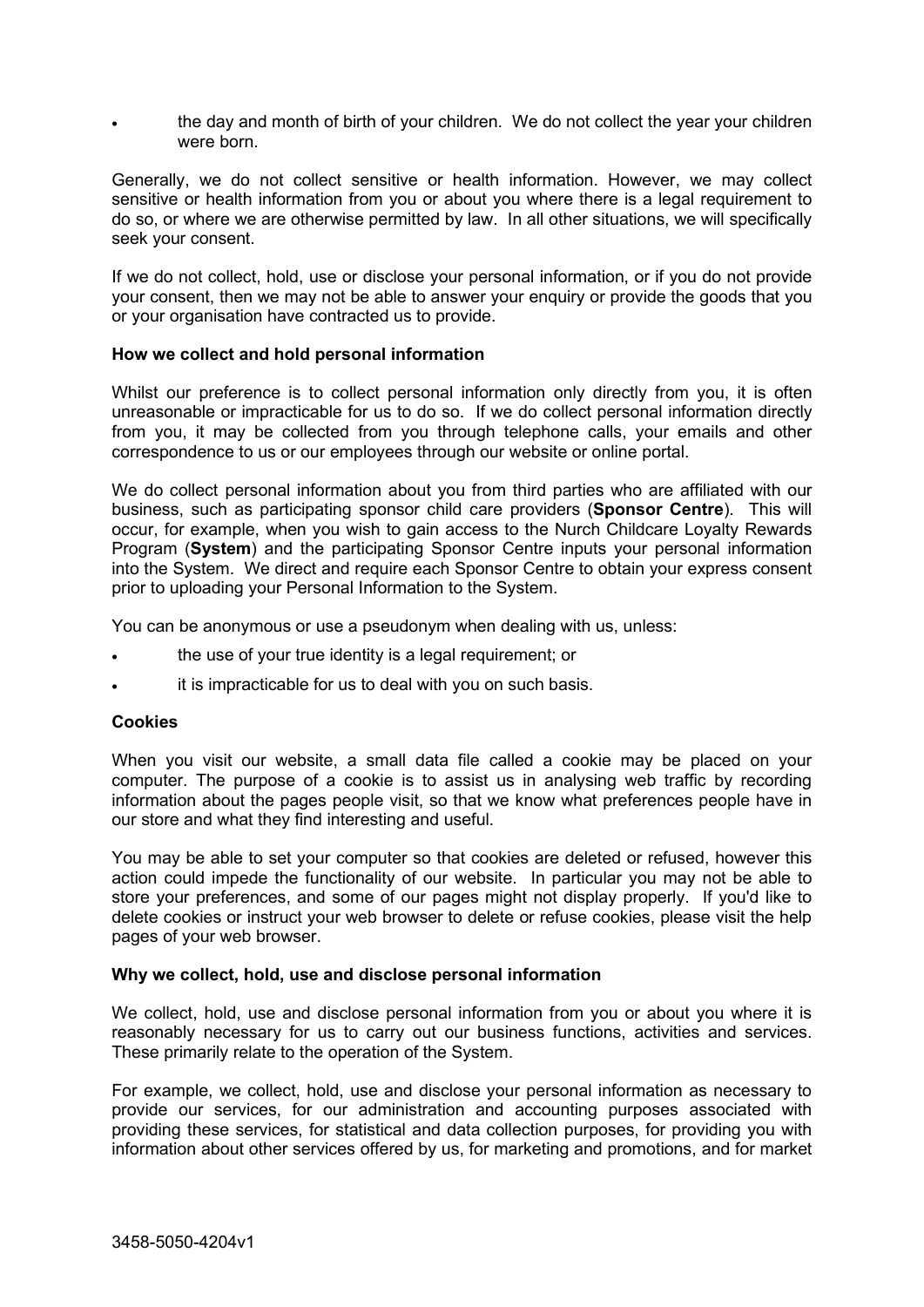the day and month of birth of your children. We do not collect the year your children were born.

Generally, we do not collect sensitive or health information. However, we may collect sensitive or health information from you or about you where there is a legal requirement to do so, or where we are otherwise permitted by law. In all other situations, we will specifically seek your consent.

If we do not collect, hold, use or disclose your personal information, or if you do not provide your consent, then we may not be able to answer your enquiry or provide the goods that you or your organisation have contracted us to provide.

## **How we collect and hold personal information**

Whilst our preference is to collect personal information only directly from you, it is often unreasonable or impracticable for us to do so. If we do collect personal information directly from you, it may be collected from you through telephone calls, your emails and other correspondence to us or our employees through our website or online portal.

We do collect personal information about you from third parties who are affiliated with our business, such as participating sponsor child care providers (**Sponsor Centre**). This will occur, for example, when you wish to gain access to the Nurch Childcare Loyalty Rewards Program (**System**) and the participating Sponsor Centre inputs your personal information into the System. We direct and require each Sponsor Centre to obtain your express consent prior to uploading your Personal Information to the System.

You can be anonymous or use a pseudonym when dealing with us, unless:

- the use of your true identity is a legal requirement; or
- it is impracticable for us to deal with you on such basis.

### **Cookies**

When you visit our website, a small data file called a cookie may be placed on your computer. The purpose of a cookie is to assist us in analysing web traffic by recording information about the pages people visit, so that we know what preferences people have in our store and what they find interesting and useful.

You may be able to set your computer so that cookies are deleted or refused, however this action could impede the functionality of our website. In particular you may not be able to store your preferences, and some of our pages might not display properly. If you'd like to delete cookies or instruct your web browser to delete or refuse cookies, please visit the help pages of your web browser.

### **Why we collect, hold, use and disclose personal information**

We collect, hold, use and disclose personal information from you or about you where it is reasonably necessary for us to carry out our business functions, activities and services. These primarily relate to the operation of the System.

For example, we collect, hold, use and disclose your personal information as necessary to provide our services, for our administration and accounting purposes associated with providing these services, for statistical and data collection purposes, for providing you with information about other services offered by us, for marketing and promotions, and for market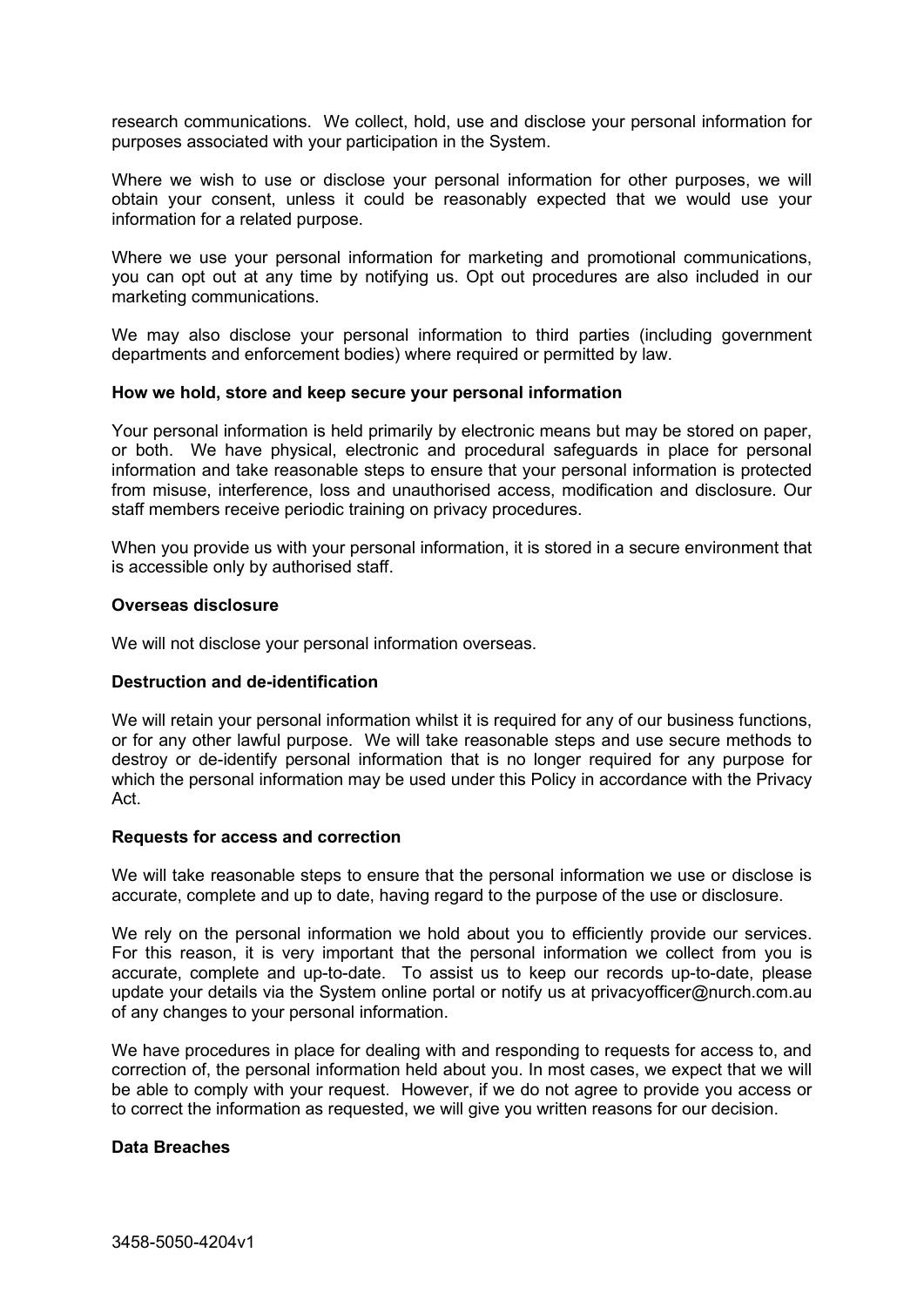research communications. We collect, hold, use and disclose your personal information for purposes associated with your participation in the System.

Where we wish to use or disclose your personal information for other purposes, we will obtain your consent, unless it could be reasonably expected that we would use your information for a related purpose.

Where we use your personal information for marketing and promotional communications, you can opt out at any time by notifying us. Opt out procedures are also included in our marketing communications.

We may also disclose your personal information to third parties (including government departments and enforcement bodies) where required or permitted by law.

## **How we hold, store and keep secure your personal information**

Your personal information is held primarily by electronic means but may be stored on paper, or both. We have physical, electronic and procedural safeguards in place for personal information and take reasonable steps to ensure that your personal information is protected from misuse, interference, loss and unauthorised access, modification and disclosure. Our staff members receive periodic training on privacy procedures.

When you provide us with your personal information, it is stored in a secure environment that is accessible only by authorised staff.

#### **Overseas disclosure**

We will not disclose your personal information overseas.

### **Destruction and de-identification**

We will retain your personal information whilst it is required for any of our business functions, or for any other lawful purpose. We will take reasonable steps and use secure methods to destroy or de-identify personal information that is no longer required for any purpose for which the personal information may be used under this Policy in accordance with the Privacy Act.

#### **Requests for access and correction**

We will take reasonable steps to ensure that the personal information we use or disclose is accurate, complete and up to date, having regard to the purpose of the use or disclosure.

We rely on the personal information we hold about you to efficiently provide our services. For this reason, it is very important that the personal information we collect from you is accurate, complete and up-to-date. To assist us to keep our records up-to-date, please update your details via the System online portal or notify us at privacyofficer@nurch.com.au of any changes to your personal information.

We have procedures in place for dealing with and responding to requests for access to, and correction of, the personal information held about you. In most cases, we expect that we will be able to comply with your request. However, if we do not agree to provide you access or to correct the information as requested, we will give you written reasons for our decision.

### **Data Breaches**